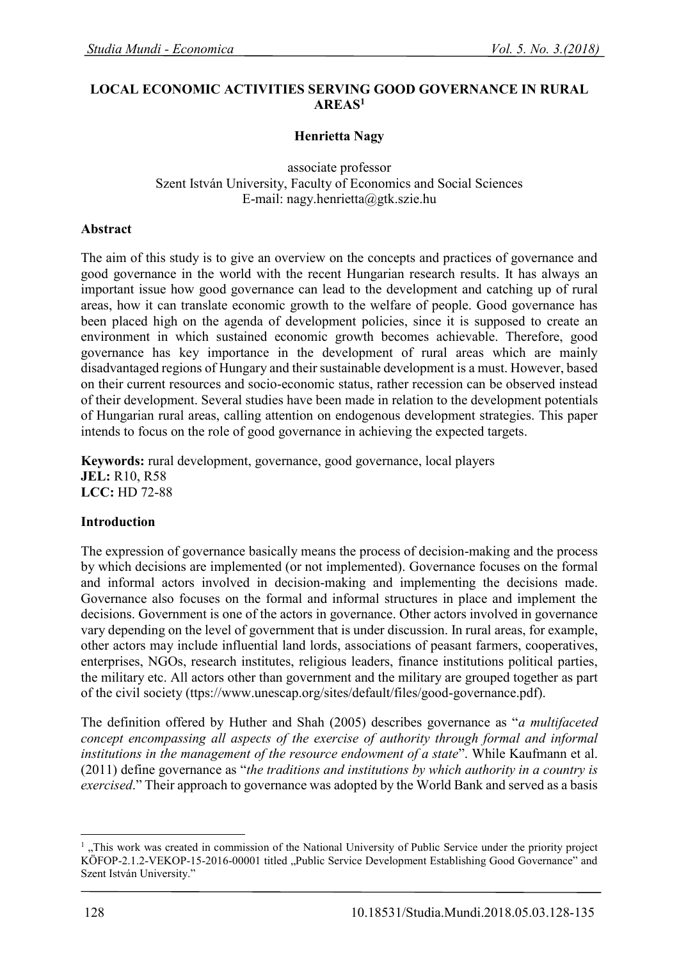#### **LOCAL ECONOMIC ACTIVITIES SERVING GOOD GOVERNANCE IN RURAL AREAS<sup>1</sup>**

### **Henrietta Nagy**

associate professor Szent István University, Faculty of Economics and Social Sciences E-mail: nagy.henrietta@gtk.szie.hu

#### **Abstract**

The aim of this study is to give an overview on the concepts and practices of governance and good governance in the world with the recent Hungarian research results. It has always an important issue how good governance can lead to the development and catching up of rural areas, how it can translate economic growth to the welfare of people. Good governance has been placed high on the agenda of development policies, since it is supposed to create an environment in which sustained economic growth becomes achievable. Therefore, good governance has key importance in the development of rural areas which are mainly disadvantaged regions of Hungary and their sustainable development is a must. However, based on their current resources and socio-economic status, rather recession can be observed instead of their development. Several studies have been made in relation to the development potentials of Hungarian rural areas, calling attention on endogenous development strategies. This paper intends to focus on the role of good governance in achieving the expected targets.

**Keywords:** rural development, governance, good governance, local players **JEL:** R10, R58 **LCC:** HD 72-88

#### **Introduction**

The expression of governance basically means the process of decision-making and the process by which decisions are implemented (or not implemented). Governance focuses on the formal and informal actors involved in decision-making and implementing the decisions made. Governance also focuses on the formal and informal structures in place and implement the decisions. Government is one of the actors in governance. Other actors involved in governance vary depending on the level of government that is under discussion. In rural areas, for example, other actors may include influential land lords, associations of peasant farmers, cooperatives, enterprises, NGOs, research institutes, religious leaders, finance institutions political parties, the military etc. All actors other than government and the military are grouped together as part of the civil society (ttps://www.unescap.org/sites/default/files/good-governance.pdf).

The definition offered by Huther and Shah (2005) describes governance as "*a multifaceted concept encompassing all aspects of the exercise of authority through formal and informal institutions in the management of the resource endowment of a state*". While Kaufmann et al. (2011) define governance as "*the traditions and institutions by which authority in a country is exercised*." Their approach to governance was adopted by the World Bank and served as a basis

 $\overline{a}$ 

<sup>1</sup> "This work was created in commission of the National University of Public Service under the priority project KÖFOP-2.1.2-VEKOP-15-2016-00001 titled "Public Service Development Establishing Good Governance" and Szent István University."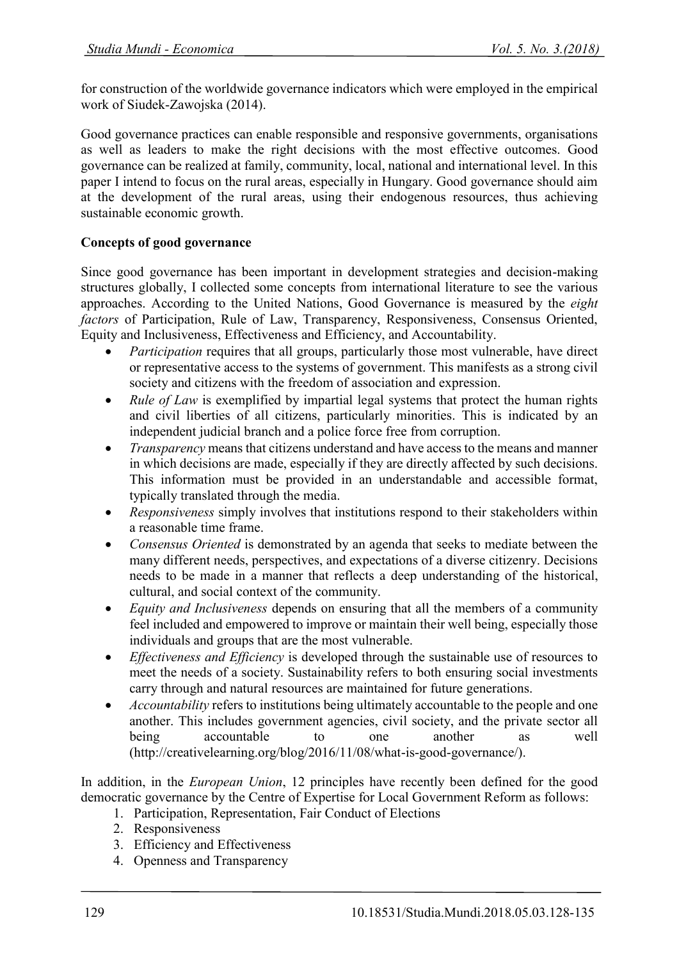for construction of the worldwide governance indicators which were employed in the empirical work of Siudek-Zawojska (2014).

Good governance practices can enable responsible and responsive governments, organisations as well as leaders to make the right decisions with the most effective outcomes. Good governance can be realized at family, community, local, national and international level. In this paper I intend to focus on the rural areas, especially in Hungary. Good governance should aim at the development of the rural areas, using their endogenous resources, thus achieving sustainable economic growth.

# **Concepts of good governance**

Since good governance has been important in development strategies and decision-making structures globally, I collected some concepts from international literature to see the various approaches. According to the United Nations, Good Governance is measured by the *eight factors* of Participation, Rule of Law, Transparency, Responsiveness, Consensus Oriented, Equity and Inclusiveness, Effectiveness and Efficiency, and Accountability.

- *Participation* requires that all groups, particularly those most vulnerable, have direct or representative access to the systems of government. This manifests as a strong civil society and citizens with the freedom of association and expression.
- *Rule of Law* is exemplified by impartial legal systems that protect the human rights and civil liberties of all citizens, particularly minorities. This is indicated by an independent judicial branch and a police force free from corruption.
- *Transparency* means that citizens understand and have access to the means and manner in which decisions are made, especially if they are directly affected by such decisions. This information must be provided in an understandable and accessible format, typically translated through the media.
- *Responsiveness* simply involves that institutions respond to their stakeholders within a reasonable time frame.
- *Consensus Oriented* is demonstrated by an agenda that seeks to mediate between the many different needs, perspectives, and expectations of a diverse citizenry. Decisions needs to be made in a manner that reflects a deep understanding of the historical, cultural, and social context of the community.
- *Equity and Inclusiveness* depends on ensuring that all the members of a community feel included and empowered to improve or maintain their well being, especially those individuals and groups that are the most vulnerable.
- *Effectiveness and Efficiency* is developed through the sustainable use of resources to meet the needs of a society. Sustainability refers to both ensuring social investments carry through and natural resources are maintained for future generations.
- *Accountability* refers to institutions being ultimately accountable to the people and one another. This includes government agencies, civil society, and the private sector all being accountable to one another as well (http://creativelearning.org/blog/2016/11/08/what-is-good-governance/).

In addition, in the *European Union*, 12 principles have recently been defined for the good democratic governance by the Centre of Expertise for Local Government Reform as follows:

- 1. Participation, Representation, Fair Conduct of Elections
- 2. Responsiveness
- 3. Efficiency and Effectiveness
- 4. Openness and Transparency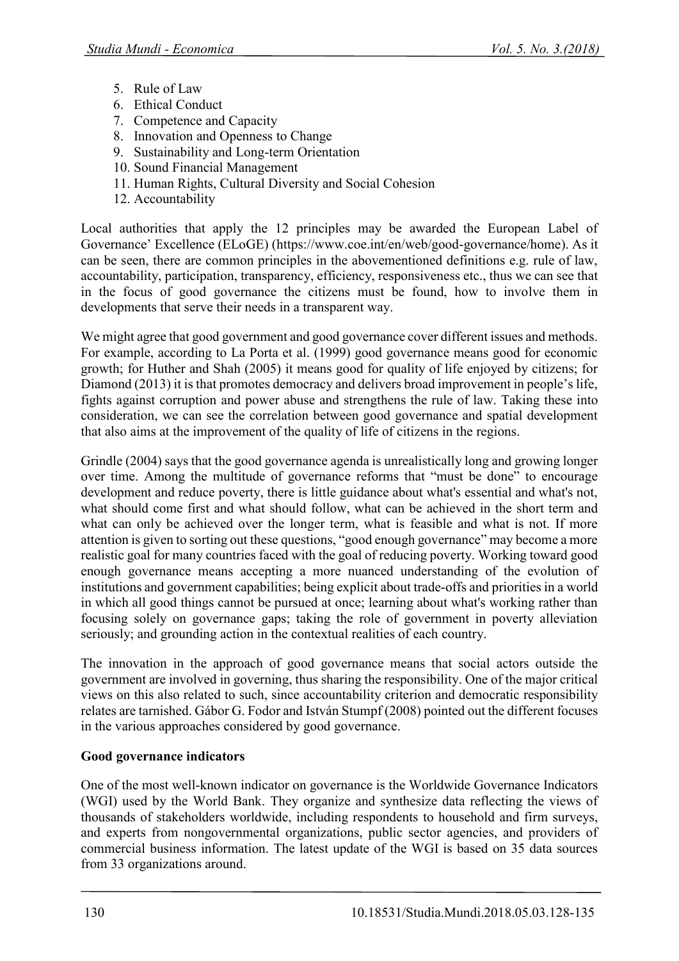- 5. Rule of Law
- 6. Ethical Conduct
- 7. Competence and Capacity
- 8. Innovation and Openness to Change
- 9. Sustainability and Long-term Orientation
- 10. Sound Financial Management
- 11. Human Rights, Cultural Diversity and Social Cohesion
- 12. Accountability

Local authorities that apply the 12 principles may be awarded the European Label of Governance' Excellence (ELoGE) ([https://www.coe.int/en/web/good-governance/home\)](https://www.coe.int/en/web/good-governance/home). As it can be seen, there are common principles in the abovementioned definitions e.g. rule of law, accountability, participation, transparency, efficiency, responsiveness etc., thus we can see that in the focus of good governance the citizens must be found, how to involve them in developments that serve their needs in a transparent way.

We might agree that good government and good governance cover different issues and methods. For example, according to La Porta et al. (1999) good governance means good for economic growth; for Huther and Shah (2005) it means good for quality of life enjoyed by citizens; for Diamond (2013) it is that promotes democracy and delivers broad improvement in people's life, fights against corruption and power abuse and strengthens the rule of law. Taking these into consideration, we can see the correlation between good governance and spatial development that also aims at the improvement of the quality of life of citizens in the regions.

Grindle (2004) says that the good governance agenda is unrealistically long and growing longer over time. Among the multitude of governance reforms that "must be done" to encourage development and reduce poverty, there is little guidance about what's essential and what's not, what should come first and what should follow, what can be achieved in the short term and what can only be achieved over the longer term, what is feasible and what is not. If more attention is given to sorting out these questions, "good enough governance" may become a more realistic goal for many countries faced with the goal of reducing poverty. Working toward good enough governance means accepting a more nuanced understanding of the evolution of institutions and government capabilities; being explicit about trade‐offs and priorities in a world in which all good things cannot be pursued at once; learning about what's working rather than focusing solely on governance gaps; taking the role of government in poverty alleviation seriously; and grounding action in the contextual realities of each country.

The innovation in the approach of good governance means that social actors outside the government are involved in governing, thus sharing the responsibility. One of the major critical views on this also related to such, since accountability criterion and democratic responsibility relates are tarnished. Gábor G. Fodor and István Stumpf (2008) pointed out the different focuses in the various approaches considered by good governance.

# **Good governance indicators**

One of the most well-known indicator on governance is the Worldwide Governance Indicators (WGI) used by the World Bank. They organize and synthesize data reflecting the views of thousands of stakeholders worldwide, including respondents to household and firm surveys, and experts from nongovernmental organizations, public sector agencies, and providers of commercial business information. The latest update of the WGI is based on 35 data sources from 33 organizations around.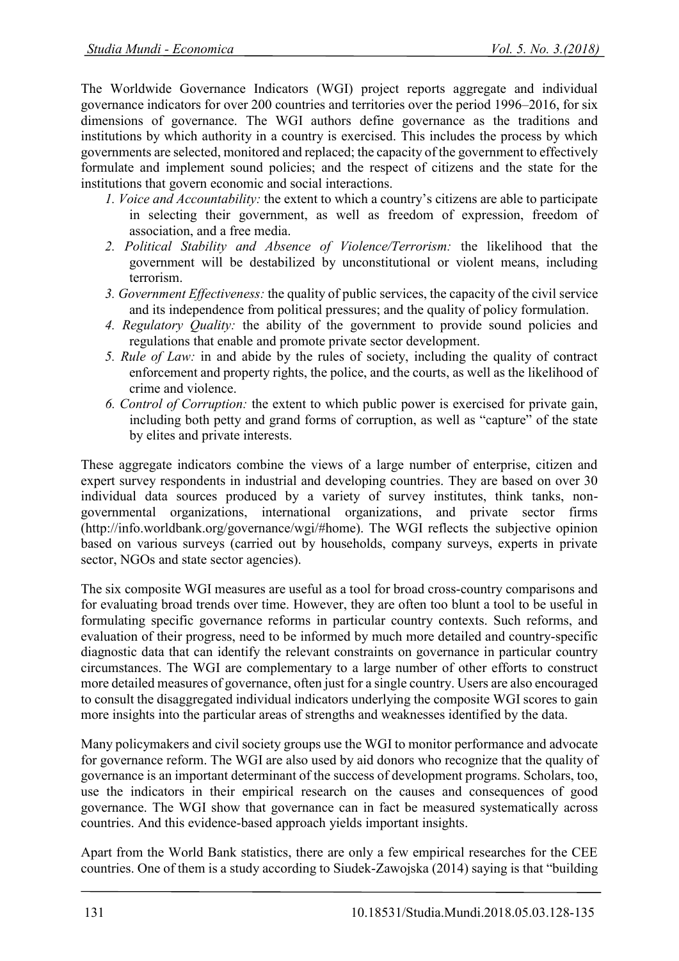The Worldwide Governance Indicators (WGI) project reports aggregate and individual governance indicators for over 200 countries and territories over the period 1996–2016, for six dimensions of governance. The WGI authors define governance as the traditions and institutions by which authority in a country is exercised. This includes the process by which governments are selected, monitored and replaced; the capacity of the government to effectively formulate and implement sound policies; and the respect of citizens and the state for the institutions that govern economic and social interactions.

- *1. Voice and Accountability:* the extent to which a country's citizens are able to participate in selecting their government, as well as freedom of expression, freedom of association, and a free media.
- *2. Political Stability and Absence of Violence/Terrorism:* the likelihood that the government will be destabilized by unconstitutional or violent means, including terrorism.
- *3. Government Effectiveness:* the quality of public services, the capacity of the civil service and its independence from political pressures; and the quality of policy formulation.
- *4. Regulatory Quality:* the ability of the government to provide sound policies and regulations that enable and promote private sector development.
- *5. Rule of Law:* in and abide by the rules of society, including the quality of contract enforcement and property rights, the police, and the courts, as well as the likelihood of crime and violence.
- *6. Control of Corruption:* the extent to which public power is exercised for private gain, including both petty and grand forms of corruption, as well as "capture" of the state by elites and private interests.

These aggregate indicators combine the views of a large number of enterprise, citizen and expert survey respondents in industrial and developing countries. They are based on over 30 individual data sources produced by a variety of survey institutes, think tanks, nongovernmental organizations, international organizations, and private sector firms (http://info.worldbank.org/governance/wgi/#home). The WGI reflects the subjective opinion based on various surveys (carried out by households, company surveys, experts in private sector, NGOs and state sector agencies).

The six composite WGI measures are useful as a tool for broad cross-country comparisons and for evaluating broad trends over time. However, they are often too blunt a tool to be useful in formulating specific governance reforms in particular country contexts. Such reforms, and evaluation of their progress, need to be informed by much more detailed and country-specific diagnostic data that can identify the relevant constraints on governance in particular country circumstances. The WGI are complementary to a large number of other efforts to construct more detailed measures of governance, often just for a single country. Users are also encouraged to consult the disaggregated individual indicators underlying the composite WGI scores to gain more insights into the particular areas of strengths and weaknesses identified by the data.

Many policymakers and civil society groups use the WGI to monitor performance and advocate for governance reform. The WGI are also used by aid donors who recognize that the quality of governance is an important determinant of the success of development programs. Scholars, too, use the indicators in their empirical research on the causes and consequences of good governance. The WGI show that governance can in fact be measured systematically across countries. And this evidence-based approach yields important insights.

Apart from the World Bank statistics, there are only a few empirical researches for the CEE countries. One of them is a study according to Siudek-Zawojska (2014) saying is that "building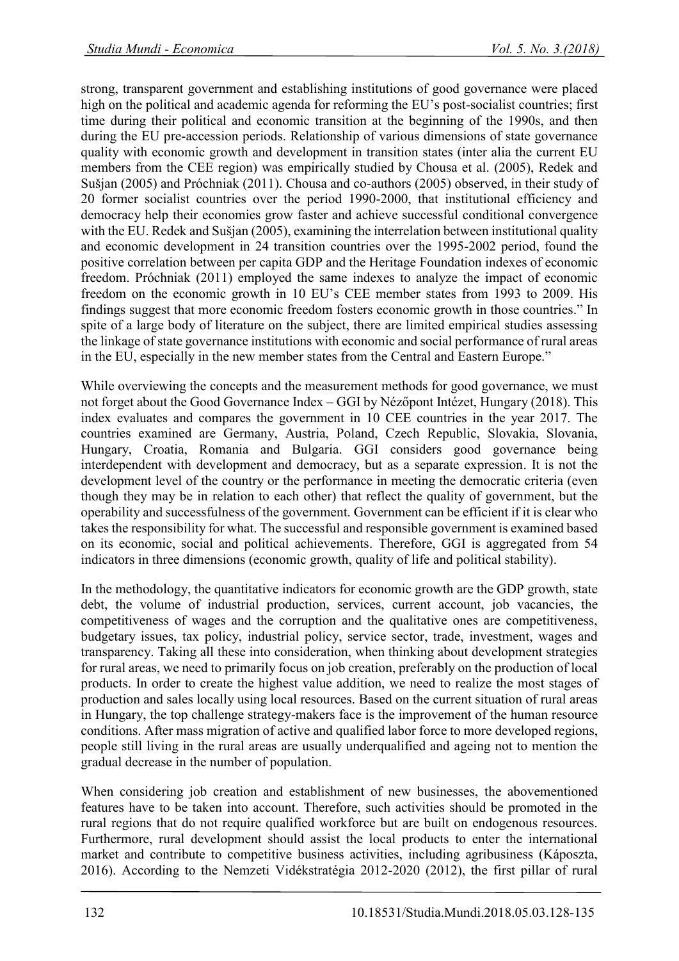strong, transparent government and establishing institutions of good governance were placed high on the political and academic agenda for reforming the EU's post-socialist countries; first time during their political and economic transition at the beginning of the 1990s, and then during the EU pre-accession periods. Relationship of various dimensions of state governance quality with economic growth and development in transition states (inter alia the current EU members from the CEE region) was empirically studied by Chousa et al. (2005), Redek and Sušjan (2005) and Próchniak (2011). Chousa and co-authors (2005) observed, in their study of 20 former socialist countries over the period 1990-2000, that institutional efficiency and democracy help their economies grow faster and achieve successful conditional convergence with the EU. Redek and Sušjan (2005), examining the interrelation between institutional quality and economic development in 24 transition countries over the 1995-2002 period, found the positive correlation between per capita GDP and the Heritage Foundation indexes of economic freedom. Próchniak (2011) employed the same indexes to analyze the impact of economic freedom on the economic growth in 10 EU's CEE member states from 1993 to 2009. His findings suggest that more economic freedom fosters economic growth in those countries." In spite of a large body of literature on the subject, there are limited empirical studies assessing the linkage of state governance institutions with economic and social performance of rural areas in the EU, especially in the new member states from the Central and Eastern Europe."

While overviewing the concepts and the measurement methods for good governance, we must not forget about the Good Governance Index – GGI by Nézőpont Intézet, Hungary (2018). This index evaluates and compares the government in 10 CEE countries in the year 2017. The countries examined are Germany, Austria, Poland, Czech Republic, Slovakia, Slovania, Hungary, Croatia, Romania and Bulgaria. GGI considers good governance being interdependent with development and democracy, but as a separate expression. It is not the development level of the country or the performance in meeting the democratic criteria (even though they may be in relation to each other) that reflect the quality of government, but the operability and successfulness of the government. Government can be efficient if it is clear who takes the responsibility for what. The successful and responsible government is examined based on its economic, social and political achievements. Therefore, GGI is aggregated from 54 indicators in three dimensions (economic growth, quality of life and political stability).

In the methodology, the quantitative indicators for economic growth are the GDP growth, state debt, the volume of industrial production, services, current account, job vacancies, the competitiveness of wages and the corruption and the qualitative ones are competitiveness, budgetary issues, tax policy, industrial policy, service sector, trade, investment, wages and transparency. Taking all these into consideration, when thinking about development strategies for rural areas, we need to primarily focus on job creation, preferably on the production of local products. In order to create the highest value addition, we need to realize the most stages of production and sales locally using local resources. Based on the current situation of rural areas in Hungary, the top challenge strategy-makers face is the improvement of the human resource conditions. After mass migration of active and qualified labor force to more developed regions, people still living in the rural areas are usually underqualified and ageing not to mention the gradual decrease in the number of population.

When considering job creation and establishment of new businesses, the abovementioned features have to be taken into account. Therefore, such activities should be promoted in the rural regions that do not require qualified workforce but are built on endogenous resources. Furthermore, rural development should assist the local products to enter the international market and contribute to competitive business activities, including agribusiness (Káposzta, 2016). According to the Nemzeti Vidékstratégia 2012-2020 (2012), the first pillar of rural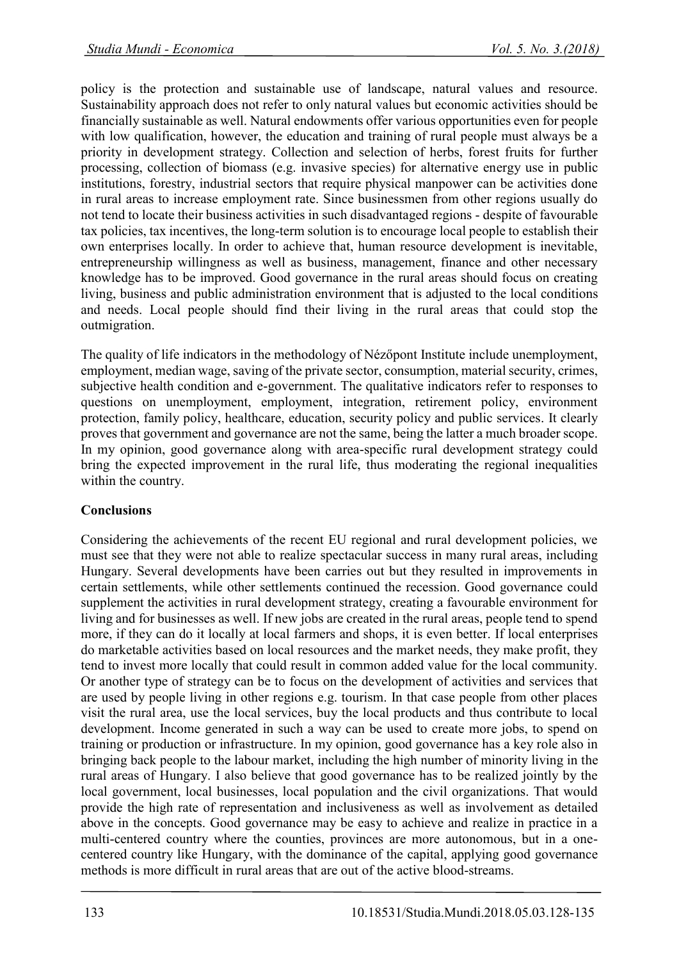policy is the protection and sustainable use of landscape, natural values and resource. Sustainability approach does not refer to only natural values but economic activities should be financially sustainable as well. Natural endowments offer various opportunities even for people with low qualification, however, the education and training of rural people must always be a priority in development strategy. Collection and selection of herbs, forest fruits for further processing, collection of biomass (e.g. invasive species) for alternative energy use in public institutions, forestry, industrial sectors that require physical manpower can be activities done in rural areas to increase employment rate. Since businessmen from other regions usually do not tend to locate their business activities in such disadvantaged regions - despite of favourable tax policies, tax incentives, the long-term solution is to encourage local people to establish their own enterprises locally. In order to achieve that, human resource development is inevitable, entrepreneurship willingness as well as business, management, finance and other necessary knowledge has to be improved. Good governance in the rural areas should focus on creating living, business and public administration environment that is adjusted to the local conditions and needs. Local people should find their living in the rural areas that could stop the outmigration.

The quality of life indicators in the methodology of Nézőpont Institute include unemployment, employment, median wage, saving of the private sector, consumption, material security, crimes, subjective health condition and e-government. The qualitative indicators refer to responses to questions on unemployment, employment, integration, retirement policy, environment protection, family policy, healthcare, education, security policy and public services. It clearly proves that government and governance are not the same, being the latter a much broader scope. In my opinion, good governance along with area-specific rural development strategy could bring the expected improvement in the rural life, thus moderating the regional inequalities within the country.

# **Conclusions**

Considering the achievements of the recent EU regional and rural development policies, we must see that they were not able to realize spectacular success in many rural areas, including Hungary. Several developments have been carries out but they resulted in improvements in certain settlements, while other settlements continued the recession. Good governance could supplement the activities in rural development strategy, creating a favourable environment for living and for businesses as well. If new jobs are created in the rural areas, people tend to spend more, if they can do it locally at local farmers and shops, it is even better. If local enterprises do marketable activities based on local resources and the market needs, they make profit, they tend to invest more locally that could result in common added value for the local community. Or another type of strategy can be to focus on the development of activities and services that are used by people living in other regions e.g. tourism. In that case people from other places visit the rural area, use the local services, buy the local products and thus contribute to local development. Income generated in such a way can be used to create more jobs, to spend on training or production or infrastructure. In my opinion, good governance has a key role also in bringing back people to the labour market, including the high number of minority living in the rural areas of Hungary. I also believe that good governance has to be realized jointly by the local government, local businesses, local population and the civil organizations. That would provide the high rate of representation and inclusiveness as well as involvement as detailed above in the concepts. Good governance may be easy to achieve and realize in practice in a multi-centered country where the counties, provinces are more autonomous, but in a onecentered country like Hungary, with the dominance of the capital, applying good governance methods is more difficult in rural areas that are out of the active blood-streams.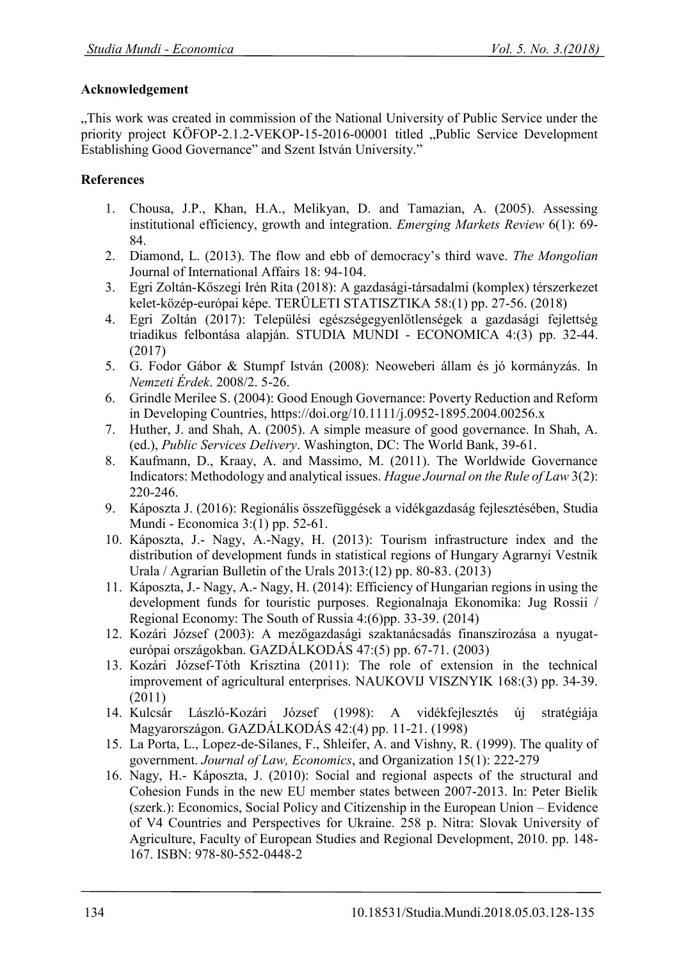### **Acknowledgement**

"This work was created in commission of the National University of Public Service under the priority project KÖFOP-2.1.2-VEKOP-15-2016-00001 titled "Public Service Development Establishing Good Governance" and Szent István University."

### **References**

- 1. Chousa, J.P., Khan, H.A., Melikyan, D. and Tamazian, A. (2005). Assessing institutional efficiency, growth and integration. *Emerging Markets Review* 6(1): 69- 84.
- 2. Diamond, L. (2013). The flow and ebb of democracy's third wave. *The Mongolian*  Journal of International Affairs 18: 94-104.
- 3. Egri Zoltán-Kőszegi Irén Rita (2018): A gazdasági-társadalmi (komplex) térszerkezet kelet-közép-európai képe. TERÜLETI STATISZTIKA 58:(1) pp. 27-56. (2018)
- 4. Egri Zoltán (2017): Települési egészségegyenlőtlenségek a gazdasági fejlettség triadikus felbontása alapján. STUDIA MUNDI - ECONOMICA 4:(3) pp. 32-44. (2017)
- 5. G. Fodor Gábor & Stumpf István (2008): Neoweberi állam és jó kormányzás. In *Nemzeti Érdek*. 2008/2. 5-26.
- 6. Grindl[e Merilee S. \(](https://onlinelibrary.wiley.com/action/doSearch?ContribAuthorStored=Grindle%2C+Merilee+S)2004): Good Enough Governance: Poverty Reduction and Reform in Developing Countries,<https://doi.org/10.1111/j.0952-1895.2004.00256.x>
- 7. Huther, J. and Shah, A. (2005). A simple measure of good governance. In Shah, A. (ed.), *Public Services Delivery*. Washington, DC: The World Bank, 39-61.
- 8. Kaufmann, D., Kraay, A. and Massimo, M. (2011). The Worldwide Governance Indicators: Methodology and analytical issues. *Hague Journal on the Rule of Law* 3(2): 220-246.
- 9. Káposzta J. (2016): Regionális összefüggések a vidékgazdaság fejlesztésében, Studia Mundi - Economica 3:(1) pp. 52-61.
- 10. Káposzta, J.- Nagy, A.-Nagy, H. (2013): Tourism infrastructure index and the distribution of development funds in statistical regions of Hungary Agrarnyi Vestnik Urala / Agrarian Bulletin of the Urals 2013:(12) pp. 80-83. (2013)
- 11. Káposzta, J.- Nagy, A.- Nagy, H. (2014): Efficiency of Hungarian regions in using the development funds for touristic purposes. Regionalnaja Ekonomika: Jug Rossii / Regional Economy: The South of Russia 4:(6)pp. 33-39. (2014)
- 12. Kozári József (2003): A mezőgazdasági szaktanácsadás finanszírozása a nyugateurópai országokban. GAZDÁLKODÁS 47:(5) pp. 67-71. (2003)
- 13. Kozári József-Tóth Krisztina (2011): The role of extension in the technical improvement of agricultural enterprises. NAUKOVIJ VISZNYIK 168:(3) pp. 34-39. (2011)
- 14. Kulcsár László-Kozári József (1998): A vidékfejlesztés új stratégiája Magyarországon. GAZDÁLKODÁS 42:(4) pp. 11-21. (1998)
- 15. La Porta, L., Lopez-de-Silanes, F., Shleifer, A. and Vishny, R. (1999). The quality of government. *Journal of Law, Economics*, and Organization 15(1): 222-279
- 16. Nagy, H.- Káposzta, J. (2010): Social and regional aspects of the structural and Cohesion Funds in the new EU member states between 2007-2013. In: Peter Bielik (szerk.): Economics, Social Policy and Citizenship in the European Union – Evidence of V4 Countries and Perspectives for Ukraine. 258 p. Nitra: Slovak University of Agriculture, Faculty of European Studies and Regional Development, 2010. pp. 148- 167. ISBN: 978-80-552-0448-2